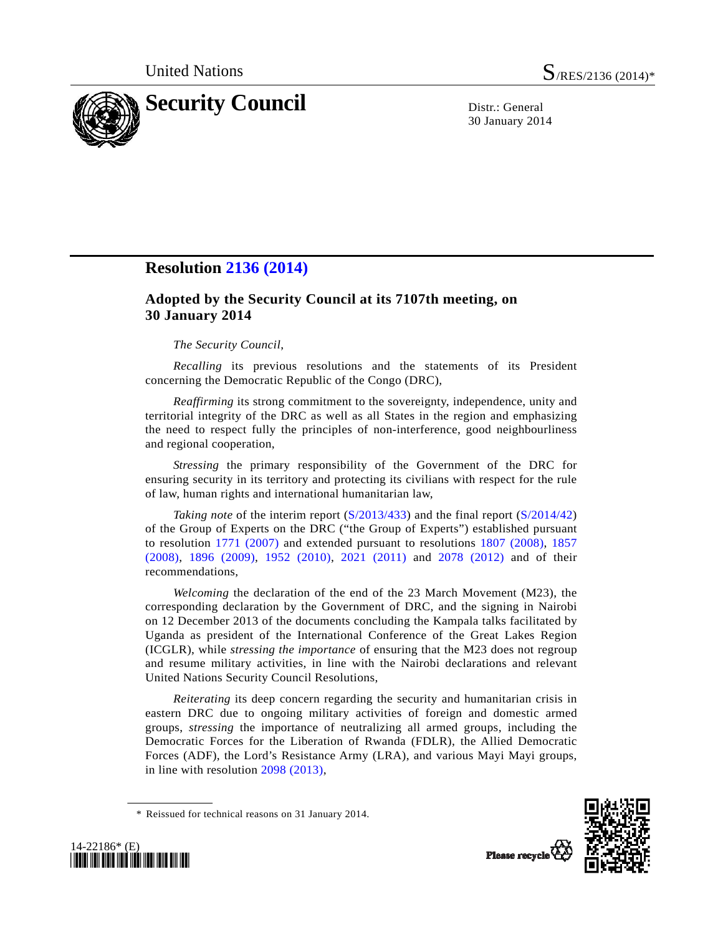

30 January 2014

## **Resolution [2136 \(2014\)](http://undocs.org/S/RES/2136(2014))**

## **Adopted by the Security Council at its 7107th meeting, on 30 January 2014**

## *The Security Council*,

*Recalling* its previous resolutions and the statements of its President concerning the Democratic Republic of the Congo (DRC),

*Reaffirming* its strong commitment to the sovereignty, independence, unity and territorial integrity of the DRC as well as all States in the region and emphasizing the need to respect fully the principles of non-interference, good neighbourliness and regional cooperation,

*Stressing* the primary responsibility of the Government of the DRC for ensuring security in its territory and protecting its civilians with respect for the rule of law, human rights and international humanitarian law,

*Taking note* of the interim report ([S/2013/433](http://undocs.org/S/2013/433)) and the final report ([S/2014/42](http://undocs.org/S/2014/42)) of the Group of Experts on the DRC ("the Group of Experts") established pursuant to resolution [1771 \(2007\)](http://undocs.org/S/RES/1771(2007)) and extended pursuant to resolutions [1807 \(2008\),](http://undocs.org/S/RES/1807(2008)) [1857](http://undocs.org/S/RES/1857(2008))  [\(2008\),](http://undocs.org/S/RES/1857(2008)) [1896 \(2009\)](http://undocs.org/S/RES/1896(2009)), [1952 \(2010\)](http://undocs.org/S/RES/1952(2010)), [2021 \(2011\)](http://undocs.org/S/RES/2021(2011)) and [2078 \(2012\)](http://undocs.org/S/RES/2078(2012)) and of their recommendations,

*Welcoming* the declaration of the end of the 23 March Movement (M23), the corresponding declaration by the Government of DRC, and the signing in Nairobi on 12 December 2013 of the documents concluding the Kampala talks facilitated by Uganda as president of the International Conference of the Great Lakes Region (ICGLR), while *stressing the importance* of ensuring that the M23 does not regroup and resume military activities, in line with the Nairobi declarations and relevant United Nations Security Council Resolutions,

*Reiterating* its deep concern regarding the security and humanitarian crisis in eastern DRC due to ongoing military activities of foreign and domestic armed groups, *stressing* the importance of neutralizing all armed groups, including the Democratic Forces for the Liberation of Rwanda (FDLR), the Allied Democratic Forces (ADF), the Lord's Resistance Army (LRA), and various Mayi Mayi groups, in line with resolution [2098 \(2013\),](http://undocs.org/S/RES/2098(2013))





 <sup>\*</sup> Reissued for technical reasons on 31 January 2014.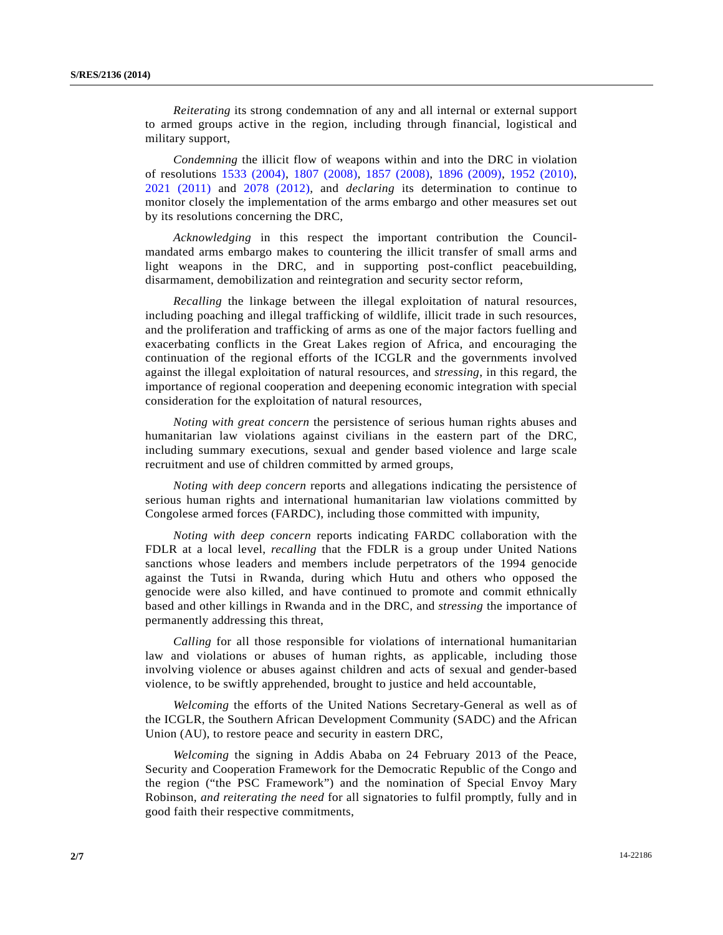*Reiterating* its strong condemnation of any and all internal or external support to armed groups active in the region, including through financial, logistical and military support,

*Condemning* the illicit flow of weapons within and into the DRC in violation of resolutions [1533 \(2004\),](http://undocs.org/S/RES/1533(2004)) [1807 \(2008\),](http://undocs.org/S/RES/1807(2008)) [1857 \(2008\)](http://undocs.org/S/RES/1857(2008)), [1896 \(2009\)](http://undocs.org/S/RES/1896(2009)), [1952 \(2010\)](http://undocs.org/S/RES/1952(2010)), [2021 \(2011\)](http://undocs.org/S/RES/2021(2011)) and [2078 \(2012\),](http://undocs.org/S/RES/2078(2012)) and *declaring* its determination to continue to monitor closely the implementation of the arms embargo and other measures set out by its resolutions concerning the DRC,

*Acknowledging* in this respect the important contribution the Councilmandated arms embargo makes to countering the illicit transfer of small arms and light weapons in the DRC, and in supporting post-conflict peacebuilding, disarmament, demobilization and reintegration and security sector reform,

*Recalling* the linkage between the illegal exploitation of natural resources, including poaching and illegal trafficking of wildlife, illicit trade in such resources, and the proliferation and trafficking of arms as one of the major factors fuelling and exacerbating conflicts in the Great Lakes region of Africa, and encouraging the continuation of the regional efforts of the ICGLR and the governments involved against the illegal exploitation of natural resources, and *stressing*, in this regard, the importance of regional cooperation and deepening economic integration with special consideration for the exploitation of natural resources,

*Noting with great concern* the persistence of serious human rights abuses and humanitarian law violations against civilians in the eastern part of the DRC, including summary executions, sexual and gender based violence and large scale recruitment and use of children committed by armed groups,

*Noting with deep concern* reports and allegations indicating the persistence of serious human rights and international humanitarian law violations committed by Congolese armed forces (FARDC), including those committed with impunity,

*Noting with deep concern* reports indicating FARDC collaboration with the FDLR at a local level, *recalling* that the FDLR is a group under United Nations sanctions whose leaders and members include perpetrators of the 1994 genocide against the Tutsi in Rwanda, during which Hutu and others who opposed the genocide were also killed, and have continued to promote and commit ethnically based and other killings in Rwanda and in the DRC, and *stressing* the importance of permanently addressing this threat,

*Calling* for all those responsible for violations of international humanitarian law and violations or abuses of human rights, as applicable, including those involving violence or abuses against children and acts of sexual and gender-based violence, to be swiftly apprehended, brought to justice and held accountable,

*Welcoming* the efforts of the United Nations Secretary-General as well as of the ICGLR, the Southern African Development Community (SADC) and the African Union (AU), to restore peace and security in eastern DRC,

*Welcoming* the signing in Addis Ababa on 24 February 2013 of the Peace, Security and Cooperation Framework for the Democratic Republic of the Congo and the region ("the PSC Framework") and the nomination of Special Envoy Mary Robinson, *and reiterating the need* for all signatories to fulfil promptly, fully and in good faith their respective commitments,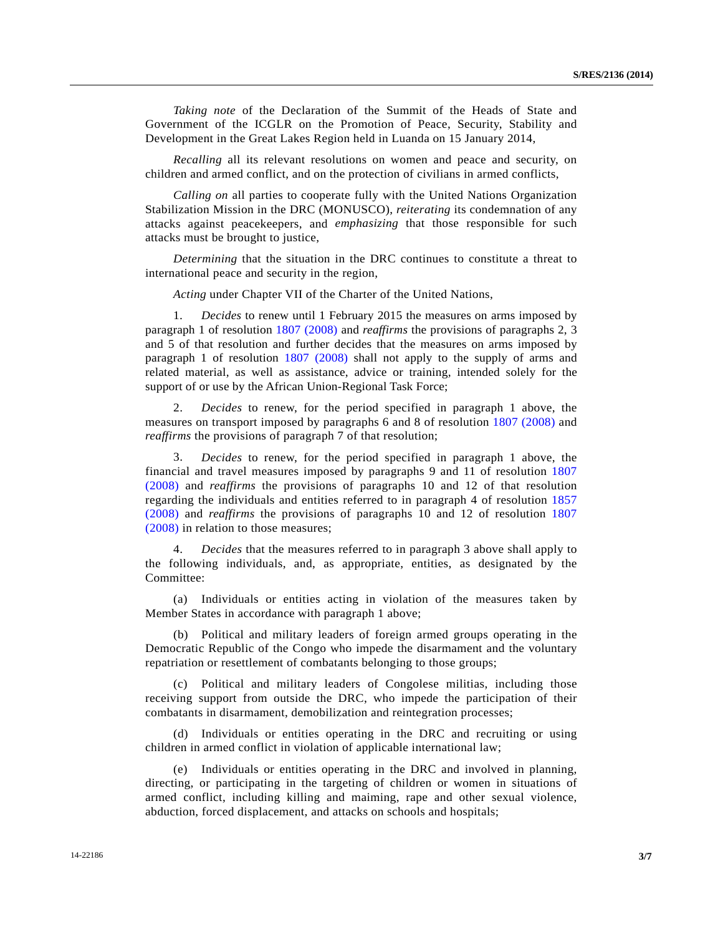*Taking note* of the Declaration of the Summit of the Heads of State and Government of the ICGLR on the Promotion of Peace, Security, Stability and Development in the Great Lakes Region held in Luanda on 15 January 2014,

*Recalling* all its relevant resolutions on women and peace and security, on children and armed conflict, and on the protection of civilians in armed conflicts,

*Calling on* all parties to cooperate fully with the United Nations Organization Stabilization Mission in the DRC (MONUSCO), *reiterating* its condemnation of any attacks against peacekeepers, and *emphasizing* that those responsible for such attacks must be brought to justice,

*Determining* that the situation in the DRC continues to constitute a threat to international peace and security in the region,

*Acting* under Chapter VII of the Charter of the United Nations,

 1. *Decides* to renew until 1 February 2015 the measures on arms imposed by paragraph 1 of resolution [1807 \(2008\)](http://undocs.org/S/RES/1807(2008)) and *reaffirms* the provisions of paragraphs 2, 3 and 5 of that resolution and further decides that the measures on arms imposed by paragraph 1 of resolution [1807 \(2008\)](http://undocs.org/S/RES/1807(2008)) shall not apply to the supply of arms and related material, as well as assistance, advice or training, intended solely for the support of or use by the African Union-Regional Task Force;

 2. *Decides* to renew, for the period specified in paragraph 1 above, the measures on transport imposed by paragraphs 6 and 8 of resolution [1807 \(2008\)](http://undocs.org/S/RES/1807(2008)) and *reaffirms* the provisions of paragraph 7 of that resolution;

 3. *Decides* to renew, for the period specified in paragraph 1 above, the financial and travel measures imposed by paragraphs 9 and 11 of resolution [1807](http://undocs.org/S/RES/1807(2008))  [\(2008\)](http://undocs.org/S/RES/1807(2008)) and *reaffirms* the provisions of paragraphs 10 and 12 of that resolution regarding the individuals and entities referred to in paragraph 4 of resolution [1857](http://undocs.org/S/RES/1857(2008))  [\(2008\)](http://undocs.org/S/RES/1857(2008)) and *reaffirms* the provisions of paragraphs 10 and 12 of resolution [1807](http://undocs.org/S/RES/1807(2008))  [\(2008\)](http://undocs.org/S/RES/1807(2008)) in relation to those measures;

 4. *Decides* that the measures referred to in paragraph 3 above shall apply to the following individuals, and, as appropriate, entities, as designated by the Committee:

 (a) Individuals or entities acting in violation of the measures taken by Member States in accordance with paragraph 1 above;

 (b) Political and military leaders of foreign armed groups operating in the Democratic Republic of the Congo who impede the disarmament and the voluntary repatriation or resettlement of combatants belonging to those groups;

 (c) Political and military leaders of Congolese militias, including those receiving support from outside the DRC, who impede the participation of their combatants in disarmament, demobilization and reintegration processes;

 (d) Individuals or entities operating in the DRC and recruiting or using children in armed conflict in violation of applicable international law;

 (e) Individuals or entities operating in the DRC and involved in planning, directing, or participating in the targeting of children or women in situations of armed conflict, including killing and maiming, rape and other sexual violence, abduction, forced displacement, and attacks on schools and hospitals;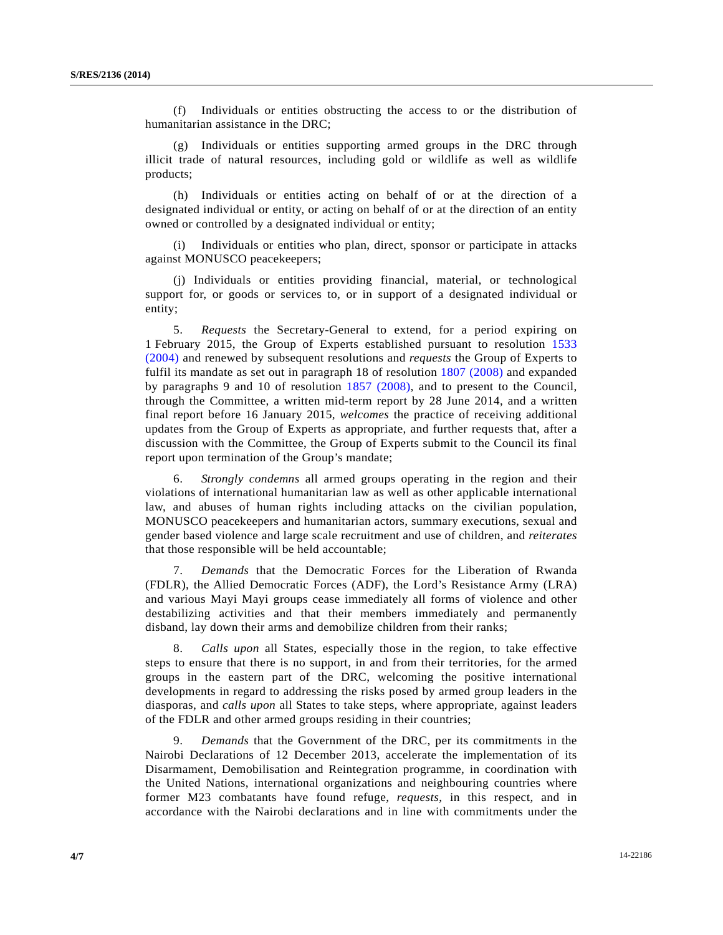(f) Individuals or entities obstructing the access to or the distribution of humanitarian assistance in the DRC;

 (g) Individuals or entities supporting armed groups in the DRC through illicit trade of natural resources, including gold or wildlife as well as wildlife products;

 (h) Individuals or entities acting on behalf of or at the direction of a designated individual or entity, or acting on behalf of or at the direction of an entity owned or controlled by a designated individual or entity;

Individuals or entities who plan, direct, sponsor or participate in attacks against MONUSCO peacekeepers;

 (j) Individuals or entities providing financial, material, or technological support for, or goods or services to, or in support of a designated individual or entity;

 5. *Requests* the Secretary-General to extend, for a period expiring on 1 February 2015, the Group of Experts established pursuant to resolution [1533](http://undocs.org/S/RES/1533(2004))  [\(2004\)](http://undocs.org/S/RES/1533(2004)) and renewed by subsequent resolutions and *requests* the Group of Experts to fulfil its mandate as set out in paragraph 18 of resolution [1807 \(2008\)](http://undocs.org/S/RES/1807(2008)) and expanded by paragraphs 9 and 10 of resolution [1857 \(2008\),](http://undocs.org/S/RES/1857(2008)) and to present to the Council, through the Committee, a written mid-term report by 28 June 2014, and a written final report before 16 January 2015, *welcomes* the practice of receiving additional updates from the Group of Experts as appropriate, and further requests that, after a discussion with the Committee, the Group of Experts submit to the Council its final report upon termination of the Group's mandate;

 6. *Strongly condemns* all armed groups operating in the region and their violations of international humanitarian law as well as other applicable international law, and abuses of human rights including attacks on the civilian population, MONUSCO peacekeepers and humanitarian actors, summary executions, sexual and gender based violence and large scale recruitment and use of children, and *reiterates* that those responsible will be held accountable;

 7. *Demands* that the Democratic Forces for the Liberation of Rwanda (FDLR), the Allied Democratic Forces (ADF), the Lord's Resistance Army (LRA) and various Mayi Mayi groups cease immediately all forms of violence and other destabilizing activities and that their members immediately and permanently disband, lay down their arms and demobilize children from their ranks;

 8. *Calls upon* all States, especially those in the region, to take effective steps to ensure that there is no support, in and from their territories, for the armed groups in the eastern part of the DRC, welcoming the positive international developments in regard to addressing the risks posed by armed group leaders in the diasporas, and *calls upon* all States to take steps, where appropriate, against leaders of the FDLR and other armed groups residing in their countries;

 9. *Demands* that the Government of the DRC, per its commitments in the Nairobi Declarations of 12 December 2013, accelerate the implementation of its Disarmament, Demobilisation and Reintegration programme, in coordination with the United Nations, international organizations and neighbouring countries where former M23 combatants have found refuge, *requests*, in this respect, and in accordance with the Nairobi declarations and in line with commitments under the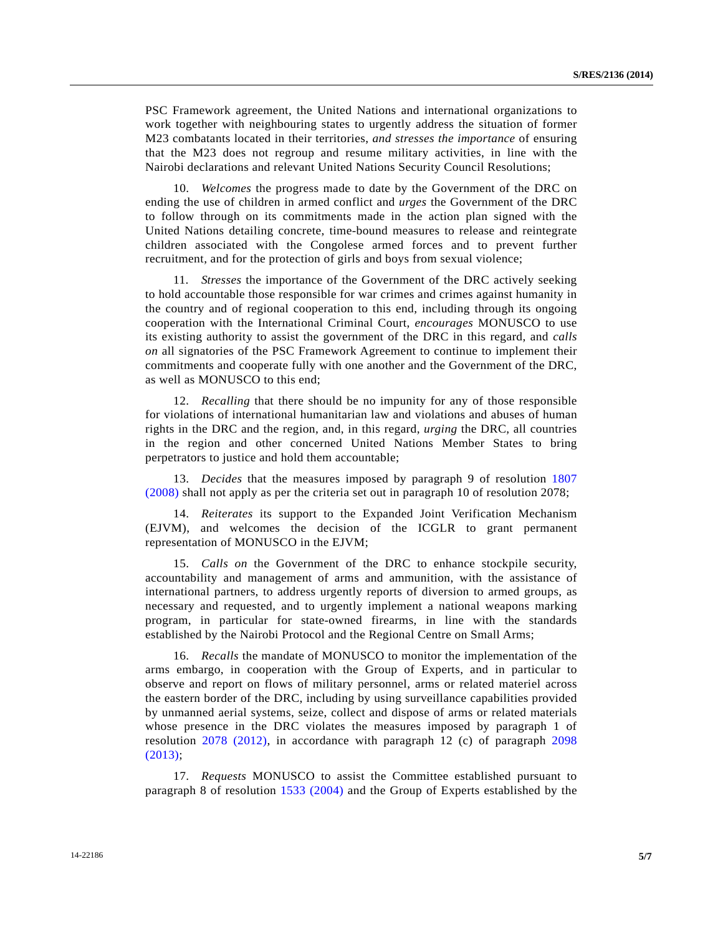PSC Framework agreement, the United Nations and international organizations to work together with neighbouring states to urgently address the situation of former M23 combatants located in their territories, *and stresses the importance* of ensuring that the M23 does not regroup and resume military activities, in line with the Nairobi declarations and relevant United Nations Security Council Resolutions;

 10. *Welcomes* the progress made to date by the Government of the DRC on ending the use of children in armed conflict and *urges* the Government of the DRC to follow through on its commitments made in the action plan signed with the United Nations detailing concrete, time-bound measures to release and reintegrate children associated with the Congolese armed forces and to prevent further recruitment, and for the protection of girls and boys from sexual violence;

 11. *Stresses* the importance of the Government of the DRC actively seeking to hold accountable those responsible for war crimes and crimes against humanity in the country and of regional cooperation to this end, including through its ongoing cooperation with the International Criminal Court, *encourages* MONUSCO to use its existing authority to assist the government of the DRC in this regard, and *calls on* all signatories of the PSC Framework Agreement to continue to implement their commitments and cooperate fully with one another and the Government of the DRC, as well as MONUSCO to this end;

 12. *Recalling* that there should be no impunity for any of those responsible for violations of international humanitarian law and violations and abuses of human rights in the DRC and the region, and, in this regard, *urging* the DRC, all countries in the region and other concerned United Nations Member States to bring perpetrators to justice and hold them accountable;

 13. *Decides* that the measures imposed by paragraph 9 of resolution [1807](http://undocs.org/S/RES/1807(2008))  [\(2008\)](http://undocs.org/S/RES/1807(2008)) shall not apply as per the criteria set out in paragraph 10 of resolution 2078;

 14. *Reiterates* its support to the Expanded Joint Verification Mechanism (EJVM), and welcomes the decision of the ICGLR to grant permanent representation of MONUSCO in the EJVM;

 15. *Calls on* the Government of the DRC to enhance stockpile security, accountability and management of arms and ammunition, with the assistance of international partners, to address urgently reports of diversion to armed groups, as necessary and requested, and to urgently implement a national weapons marking program, in particular for state-owned firearms, in line with the standards established by the Nairobi Protocol and the Regional Centre on Small Arms;

 16. *Recalls* the mandate of MONUSCO to monitor the implementation of the arms embargo, in cooperation with the Group of Experts, and in particular to observe and report on flows of military personnel, arms or related materiel across the eastern border of the DRC, including by using surveillance capabilities provided by unmanned aerial systems, seize, collect and dispose of arms or related materials whose presence in the DRC violates the measures imposed by paragraph 1 of resolution [2078 \(2012\)](http://undocs.org/S/RES/2078(2012)), in accordance with paragraph 12 (c) of paragraph [2098](http://undocs.org/S/RES/2098(2013))  [\(2013\);](http://undocs.org/S/RES/2098(2013))

 17. *Requests* MONUSCO to assist the Committee established pursuant to paragraph 8 of resolution [1533 \(2004\)](http://undocs.org/S/RES/1533(2004)) and the Group of Experts established by the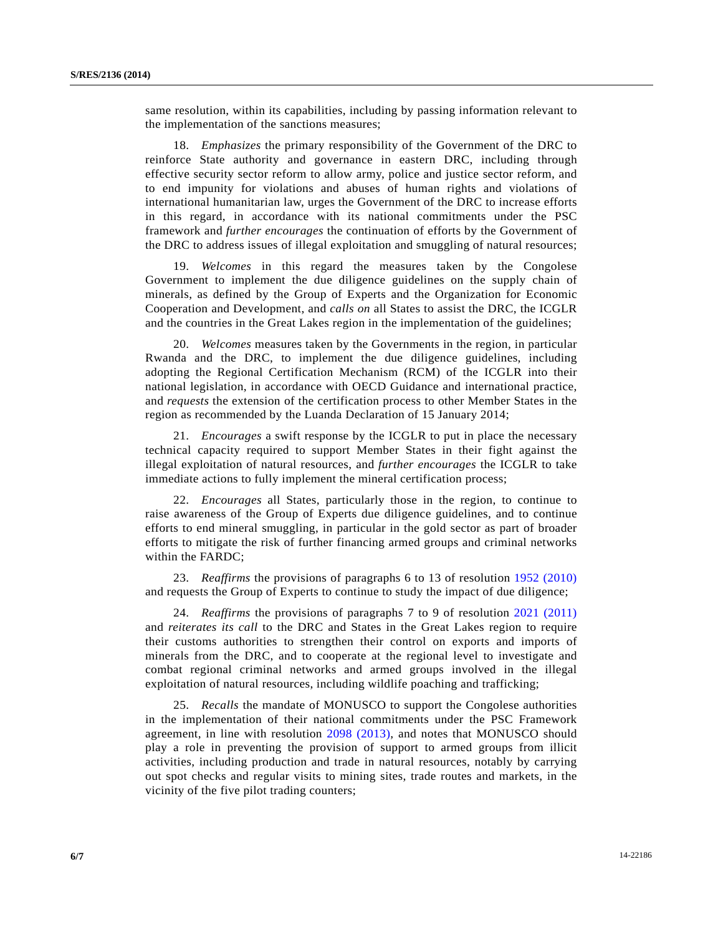same resolution, within its capabilities, including by passing information relevant to the implementation of the sanctions measures;

 18. *Emphasizes* the primary responsibility of the Government of the DRC to reinforce State authority and governance in eastern DRC, including through effective security sector reform to allow army, police and justice sector reform, and to end impunity for violations and abuses of human rights and violations of international humanitarian law, urges the Government of the DRC to increase efforts in this regard, in accordance with its national commitments under the PSC framework and *further encourages* the continuation of efforts by the Government of the DRC to address issues of illegal exploitation and smuggling of natural resources;

 19. *Welcomes* in this regard the measures taken by the Congolese Government to implement the due diligence guidelines on the supply chain of minerals, as defined by the Group of Experts and the Organization for Economic Cooperation and Development, and *calls on* all States to assist the DRC, the ICGLR and the countries in the Great Lakes region in the implementation of the guidelines;

 20. *Welcomes* measures taken by the Governments in the region, in particular Rwanda and the DRC, to implement the due diligence guidelines, including adopting the Regional Certification Mechanism (RCM) of the ICGLR into their national legislation, in accordance with OECD Guidance and international practice, and *requests* the extension of the certification process to other Member States in the region as recommended by the Luanda Declaration of 15 January 2014;

 21. *Encourages* a swift response by the ICGLR to put in place the necessary technical capacity required to support Member States in their fight against the illegal exploitation of natural resources, and *further encourages* the ICGLR to take immediate actions to fully implement the mineral certification process;

 22. *Encourages* all States, particularly those in the region, to continue to raise awareness of the Group of Experts due diligence guidelines, and to continue efforts to end mineral smuggling, in particular in the gold sector as part of broader efforts to mitigate the risk of further financing armed groups and criminal networks within the FARDC;

 23. *Reaffirms* the provisions of paragraphs 6 to 13 of resolution [1952 \(2010\)](http://undocs.org/S/RES/1952(2010)) and requests the Group of Experts to continue to study the impact of due diligence;

 24. *Reaffirms* the provisions of paragraphs 7 to 9 of resolution [2021 \(2011\)](http://undocs.org/S/RES/2021(2011)) and *reiterates its call* to the DRC and States in the Great Lakes region to require their customs authorities to strengthen their control on exports and imports of minerals from the DRC, and to cooperate at the regional level to investigate and combat regional criminal networks and armed groups involved in the illegal exploitation of natural resources, including wildlife poaching and trafficking;

 25. *Recalls* the mandate of MONUSCO to support the Congolese authorities in the implementation of their national commitments under the PSC Framework agreement, in line with resolution [2098 \(2013\),](http://undocs.org/S/RES/2098(2013)) and notes that MONUSCO should play a role in preventing the provision of support to armed groups from illicit activities, including production and trade in natural resources, notably by carrying out spot checks and regular visits to mining sites, trade routes and markets, in the vicinity of the five pilot trading counters;